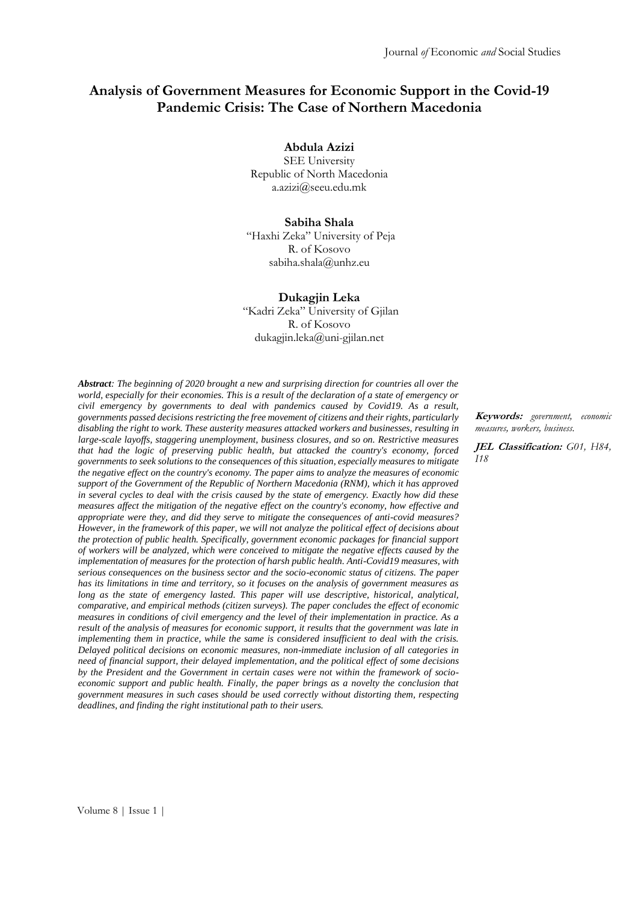# **Analysis of Government Measures for Economic Support in the Covid-19 Pandemic Crisis: The Case of Northern Macedonia**

**Abdula Azizi**

SEE University Republic of North Macedonia [a.azizi@seeu.edu.mk](mailto:a.azizi@seeu.edu.mk)

#### **Sabiha Shala**

"Haxhi Zeka" University of Peja R. of Kosovo [sabiha.shala@unhz.eu](mailto:sabiha.shala@unhz.eu)

#### **Dukagjin Leka**

"Kadri Zeka" University of Gjilan R. of Kosovo [dukagjin.leka@uni-gjilan.net](mailto:dukagjin.leka@uni-gjilan.net)

*Abstract: The beginning of 2020 brought a new and surprising direction for countries all over the world, especially for their economies. This is a result of the declaration of a state of emergency or civil emergency by governments to deal with pandemics caused by Covid19. As a result, governments passed decisions restricting the free movement of citizens and their rights, particularly disabling the right to work. These austerity measures attacked workers and businesses, resulting in large-scale layoffs, staggering unemployment, business closures, and so on. Restrictive measures that had the logic of preserving public health, but attacked the country's economy, forced governments to seek solutions to the consequences of this situation, especially measures to mitigate the negative effect on the country's economy. The paper aims to analyze the measures of economic support of the Government of the Republic of Northern Macedonia (RNM), which it has approved in several cycles to deal with the crisis caused by the state of emergency. Exactly how did these measures affect the mitigation of the negative effect on the country's economy, how effective and appropriate were they, and did they serve to mitigate the consequences of anti-covid measures? However, in the framework of this paper, we will not analyze the political effect of decisions about the protection of public health. Specifically, government economic packages for financial support of workers will be analyzed, which were conceived to mitigate the negative effects caused by the implementation of measures for the protection of harsh public health. Anti-Covid19 measures, with serious consequences on the business sector and the socio-economic status of citizens. The paper has its limitations in time and territory, so it focuses on the analysis of government measures as long as the state of emergency lasted. This paper will use descriptive, historical, analytical, comparative, and empirical methods (citizen surveys). The paper concludes the effect of economic measures in conditions of civil emergency and the level of their implementation in practice. As a result of the analysis of measures for economic support, it results that the government was late in implementing them in practice, while the same is considered insufficient to deal with the crisis. Delayed political decisions on economic measures, non-immediate inclusion of all categories in need of financial support, their delayed implementation, and the political effect of some decisions by the President and the Government in certain cases were not within the framework of socioeconomic support and public health. Finally, the paper brings as a novelty the conclusion that government measures in such cases should be used correctly without distorting them, respecting deadlines, and finding the right institutional path to their users.*

**Keywords:** *government, economic measures, workers, business.*

**JEL Classification:** *G01, H84, I18*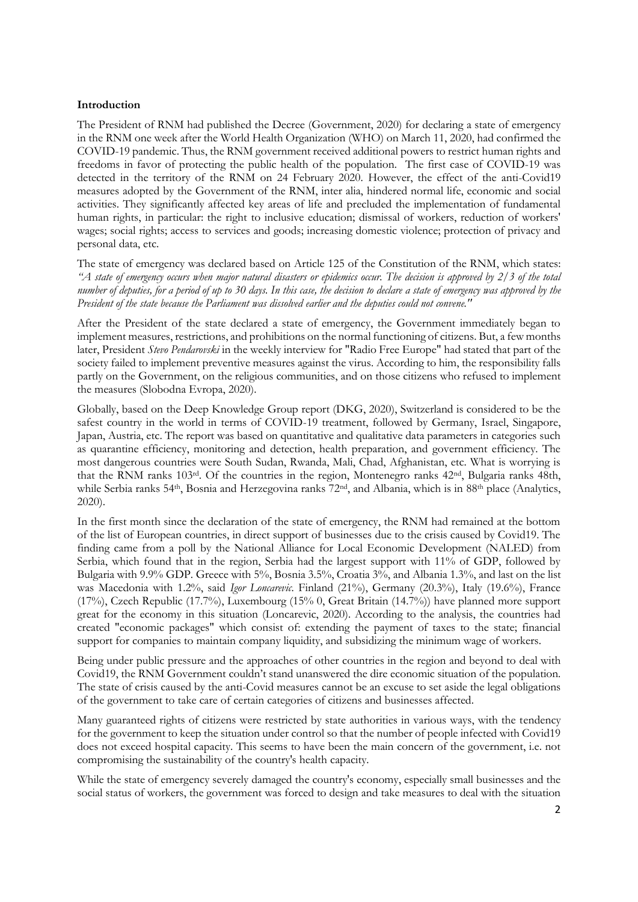#### **Introduction**

The President of RNM had published the Decree (Government, 2020) for declaring a state of emergency in the RNM one week after the World Health Organization (WHO) on March 11, 2020, had confirmed the COVID-19 pandemic. Thus, the RNM government received additional powers to restrict human rights and freedoms in favor of protecting the public health of the population. The first case of COVID-19 was detected in the territory of the RNM on 24 February 2020. However, the effect of the anti-Covid19 measures adopted by the Government of the RNM, inter alia, hindered normal life, economic and social activities. They significantly affected key areas of life and precluded the implementation of fundamental human rights, in particular: the right to inclusive education; dismissal of workers, reduction of workers' wages; social rights; access to services and goods; increasing domestic violence; protection of privacy and personal data, etc.

The state of emergency was declared based on Article 125 of the Constitution of the RNM, which states: *"A state of emergency occurs when major natural disasters or epidemics occur. The decision is approved by 2/3 of the total number of deputies, for a period of up to 30 days. In this case, the decision to declare a state of emergency was approved by the President of the state because the Parliament was dissolved earlier and the deputies could not convene."*

After the President of the state declared a state of emergency, the Government immediately began to implement measures, restrictions, and prohibitions on the normal functioning of citizens. But, a few months later, President *Stevo Pendarovski* in the weekly interview for "Radio Free Europe" had stated that part of the society failed to implement preventive measures against the virus. According to him, the responsibility falls partly on the Government, on the religious communities, and on those citizens who refused to implement the measures (Slobodna Evropa, 2020).

Globally, based on the Deep Knowledge Group report (DKG, 2020), Switzerland is considered to be the safest country in the world in terms of COVID-19 treatment, followed by Germany, Israel, Singapore, Japan, Austria, etc. The report was based on quantitative and qualitative data parameters in categories such as quarantine efficiency, monitoring and detection, health preparation, and government efficiency. The most dangerous countries were South Sudan, Rwanda, Mali, Chad, Afghanistan, etc. What is worrying is that the RNM ranks 103rd. Of the countries in the region, Montenegro ranks 42nd, Bulgaria ranks 48th, while Serbia ranks 54<sup>th</sup>, Bosnia and Herzegovina ranks 72<sup>nd</sup>, and Albania, which is in 88<sup>th</sup> place (Analytics, 2020).

In the first month since the declaration of the state of emergency, the RNM had remained at the bottom of the list of European countries, in direct support of businesses due to the crisis caused by Covid19. The finding came from a poll by the National Alliance for Local Economic Development (NALED) from Serbia, which found that in the region, Serbia had the largest support with 11% of GDP, followed by Bulgaria with 9.9% GDP. Greece with 5%, Bosnia 3.5%, Croatia 3%, and Albania 1.3%, and last on the list was Macedonia with 1.2%, said *Igor Loncarevic*. Finland (21%), Germany (20.3%), Italy (19.6%), France (17%), Czech Republic (17.7%), Luxembourg (15% 0, Great Britain (14.7%)) have planned more support great for the economy in this situation (Loncarevic, 2020). According to the analysis, the countries had created "economic packages" which consist of: extending the payment of taxes to the state; financial support for companies to maintain company liquidity, and subsidizing the minimum wage of workers.

Being under public pressure and the approaches of other countries in the region and beyond to deal with Covid19, the RNM Government couldn't stand unanswered the dire economic situation of the population. The state of crisis caused by the anti-Covid measures cannot be an excuse to set aside the legal obligations of the government to take care of certain categories of citizens and businesses affected.

Many guaranteed rights of citizens were restricted by state authorities in various ways, with the tendency for the government to keep the situation under control so that the number of people infected with Covid19 does not exceed hospital capacity. This seems to have been the main concern of the government, i.e. not compromising the sustainability of the country's health capacity.

While the state of emergency severely damaged the country's economy, especially small businesses and the social status of workers, the government was forced to design and take measures to deal with the situation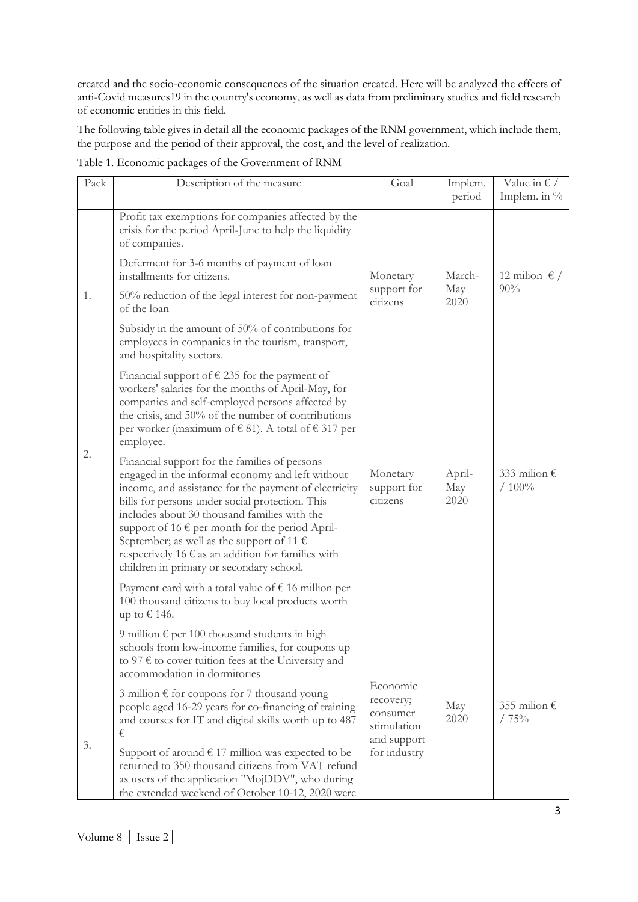created and the socio-economic consequences of the situation created. Here will be analyzed the effects of anti-Covid measures19 in the country's economy, as well as data from preliminary studies and field research of economic entities in this field.

The following table gives in detail all the economic packages of the RNM government, which include them, the purpose and the period of their approval, the cost, and the level of realization.

| Pack | Description of the measure                                                                                                                                                                                                                                                                                                                                                                                                                                                                                                                                                                                                                                                                                                                                                           | Goal                                                                            | Implem.<br>period     | Value in $\epsilon$ /<br>Implem. in $\%$ |  |  |
|------|--------------------------------------------------------------------------------------------------------------------------------------------------------------------------------------------------------------------------------------------------------------------------------------------------------------------------------------------------------------------------------------------------------------------------------------------------------------------------------------------------------------------------------------------------------------------------------------------------------------------------------------------------------------------------------------------------------------------------------------------------------------------------------------|---------------------------------------------------------------------------------|-----------------------|------------------------------------------|--|--|
| 1.   | Profit tax exemptions for companies affected by the<br>crisis for the period April-June to help the liquidity<br>of companies.<br>Deferment for 3-6 months of payment of loan<br>installments for citizens.<br>50% reduction of the legal interest for non-payment<br>of the loan<br>Subsidy in the amount of 50% of contributions for<br>employees in companies in the tourism, transport,<br>and hospitality sectors.                                                                                                                                                                                                                                                                                                                                                              | Monetary<br>support for<br>citizens                                             | March-<br>May<br>2020 | 12 milion $\epsilon$ /<br>90%            |  |  |
| 2.   | Financial support of $\epsilon$ 235 for the payment of<br>workers' salaries for the months of April-May, for<br>companies and self-employed persons affected by<br>the crisis, and 50% of the number of contributions<br>per worker (maximum of €81). A total of €317 per<br>employee.<br>Financial support for the families of persons<br>engaged in the informal economy and left without<br>income, and assistance for the payment of electricity<br>bills for persons under social protection. This<br>includes about 30 thousand families with the<br>support of 16 $\epsilon$ per month for the period April-<br>September; as well as the support of 11 $\epsilon$<br>respectively 16 $\epsilon$ as an addition for families with<br>children in primary or secondary school. | Monetary<br>support for<br>citizens                                             | April-<br>May<br>2020 | 333 milion $\epsilon$<br>/100%           |  |  |
| 3.   | Payment card with a total value of $\epsilon$ 16 million per<br>100 thousand citizens to buy local products worth<br>up to € 146.<br>9 million $\epsilon$ per 100 thousand students in high<br>schools from low-income families, for coupons up<br>to 97 $\epsilon$ to cover tuition fees at the University and<br>accommodation in dormitories<br>3 million € for coupons for 7 thousand young<br>people aged 16-29 years for co-financing of training<br>and courses for IT and digital skills worth up to 487<br>€<br>Support of around $\epsilon$ 17 million was expected to be<br>returned to 350 thousand citizens from VAT refund<br>as users of the application "MojDDV", who during<br>the extended weekend of October 10-12, 2020 were                                     | Economic<br>recovery;<br>consumer<br>stimulation<br>and support<br>for industry | May<br>2020           | 355 milion $\epsilon$<br>/75%            |  |  |

Table 1. Economic packages of the Government of RNM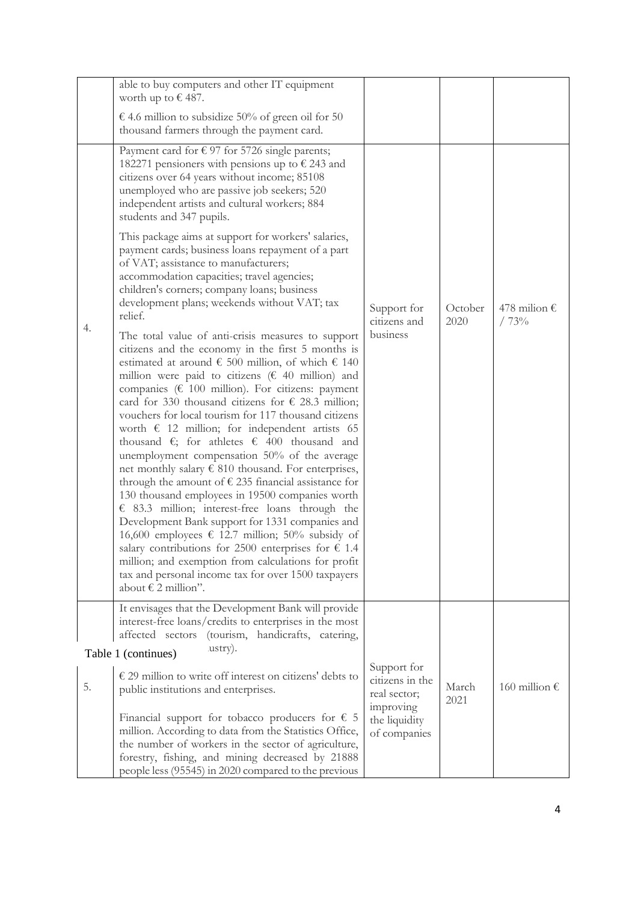|    | able to buy computers and other IT equipment<br>worth up to $\epsilon$ 487.                                                                                                                                                                                                                                                                                                                                                                                                                                                                                                                                                                                                                                                                                                                                                                                                                                                                                                                                                                                                                                                                                               |                                                             |                 |                               |
|----|---------------------------------------------------------------------------------------------------------------------------------------------------------------------------------------------------------------------------------------------------------------------------------------------------------------------------------------------------------------------------------------------------------------------------------------------------------------------------------------------------------------------------------------------------------------------------------------------------------------------------------------------------------------------------------------------------------------------------------------------------------------------------------------------------------------------------------------------------------------------------------------------------------------------------------------------------------------------------------------------------------------------------------------------------------------------------------------------------------------------------------------------------------------------------|-------------------------------------------------------------|-----------------|-------------------------------|
|    | € 4.6 million to subsidize 50% of green oil for 50<br>thousand farmers through the payment card.                                                                                                                                                                                                                                                                                                                                                                                                                                                                                                                                                                                                                                                                                                                                                                                                                                                                                                                                                                                                                                                                          |                                                             |                 |                               |
|    | Payment card for $\epsilon$ 97 for 5726 single parents;<br>182271 pensioners with pensions up to $\epsilon$ 243 and<br>citizens over 64 years without income; 85108<br>unemployed who are passive job seekers; 520<br>independent artists and cultural workers; 884<br>students and 347 pupils.                                                                                                                                                                                                                                                                                                                                                                                                                                                                                                                                                                                                                                                                                                                                                                                                                                                                           |                                                             | October<br>2020 |                               |
|    | This package aims at support for workers' salaries,<br>payment cards; business loans repayment of a part<br>of VAT; assistance to manufacturers;<br>accommodation capacities; travel agencies;<br>children's corners; company loans; business<br>development plans; weekends without VAT; tax<br>relief.                                                                                                                                                                                                                                                                                                                                                                                                                                                                                                                                                                                                                                                                                                                                                                                                                                                                  | Support for<br>citizens and                                 |                 | 478 milion $\epsilon$<br>/73% |
| 4. | The total value of anti-crisis measures to support<br>citizens and the economy in the first 5 months is<br>estimated at around $\epsilon$ 500 million, of which $\epsilon$ 140<br>million were paid to citizens ( $\epsilon$ 40 million) and<br>companies ( $\epsilon$ 100 million). For citizens: payment<br>card for 330 thousand citizens for $\epsilon$ 28.3 million;<br>vouchers for local tourism for 117 thousand citizens<br>worth $\epsilon$ 12 million; for independent artists 65<br>thousand $\epsilon$ ; for athletes $\epsilon$ 400 thousand and<br>unemployment compensation 50% of the average<br>net monthly salary $\epsilon$ 810 thousand. For enterprises,<br>through the amount of $\epsilon$ 235 financial assistance for<br>130 thousand employees in 19500 companies worth<br>$\epsilon$ 83.3 million; interest-free loans through the<br>Development Bank support for 1331 companies and<br>16,600 employees € 12.7 million; 50% subsidy of<br>salary contributions for 2500 enterprises for $\epsilon$ 1.4<br>million; and exemption from calculations for profit<br>tax and personal income tax for over 1500 taxpayers<br>about € 2 million". | business                                                    |                 |                               |
|    | It envisages that the Development Bank will provide<br>interest-free loans/credits to enterprises in the most<br>(tourism, handicrafts, catering,<br>affected sectors                                                                                                                                                                                                                                                                                                                                                                                                                                                                                                                                                                                                                                                                                                                                                                                                                                                                                                                                                                                                     |                                                             |                 |                               |
|    | lustry).<br>Table 1 (continues)                                                                                                                                                                                                                                                                                                                                                                                                                                                                                                                                                                                                                                                                                                                                                                                                                                                                                                                                                                                                                                                                                                                                           |                                                             |                 |                               |
| 5. | $\epsilon$ 29 million to write off interest on citizens' debts to<br>public institutions and enterprises.                                                                                                                                                                                                                                                                                                                                                                                                                                                                                                                                                                                                                                                                                                                                                                                                                                                                                                                                                                                                                                                                 | Support for<br>citizens in the<br>real sector;<br>improving | March<br>2021   | 160 million €                 |
|    | Financial support for tobacco producers for $\epsilon$ 5<br>million. According to data from the Statistics Office,<br>the number of workers in the sector of agriculture,<br>forestry, fishing, and mining decreased by 21888<br>people less (95545) in 2020 compared to the previous                                                                                                                                                                                                                                                                                                                                                                                                                                                                                                                                                                                                                                                                                                                                                                                                                                                                                     | the liquidity<br>of companies                               |                 |                               |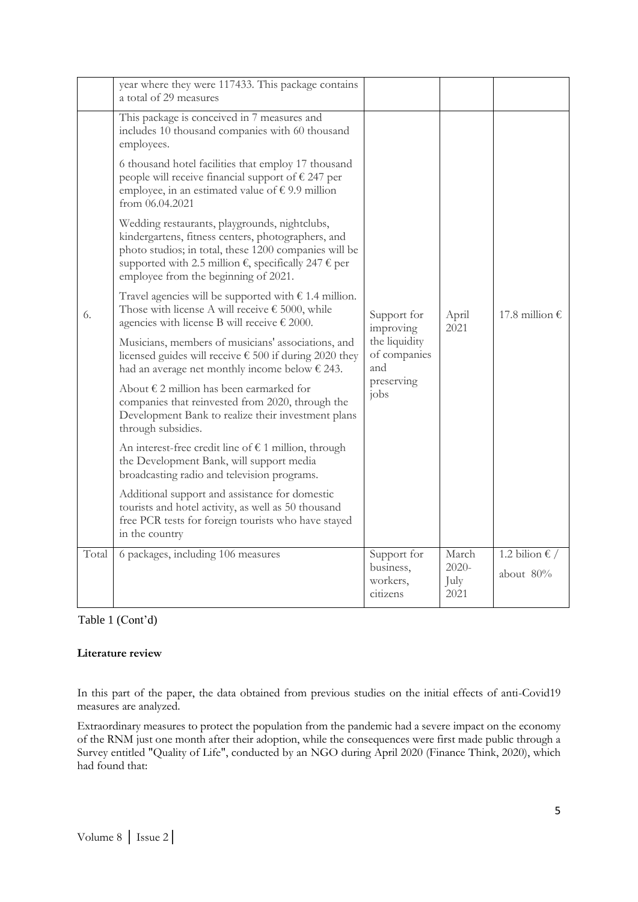|       | year where they were 117433. This package contains<br>a total of 29 measures                                                                                                                                                                                                    |                                                                                                    |                                   |                             |
|-------|---------------------------------------------------------------------------------------------------------------------------------------------------------------------------------------------------------------------------------------------------------------------------------|----------------------------------------------------------------------------------------------------|-----------------------------------|-----------------------------|
|       | This package is conceived in 7 measures and<br>includes 10 thousand companies with 60 thousand<br>employees.                                                                                                                                                                    |                                                                                                    |                                   |                             |
|       | 6 thousand hotel facilities that employ 17 thousand<br>people will receive financial support of $\epsilon$ 247 per<br>employee, in an estimated value of $\epsilon$ 9.9 million<br>from $06.04.2021$                                                                            |                                                                                                    |                                   |                             |
|       | Wedding restaurants, playgrounds, nightclubs,<br>kindergartens, fitness centers, photographers, and<br>photo studios; in total, these 1200 companies will be<br>supported with 2.5 million $\epsilon$ , specifically 247 $\epsilon$ per<br>employee from the beginning of 2021. | Support for<br>improving<br>the liquidity<br>of companies<br>and<br>preserving<br>i <sub>obs</sub> | April<br>2021                     |                             |
| 6.    | Travel agencies will be supported with $\epsilon$ 1.4 million.<br>Those with license A will receive $\epsilon$ 5000, while<br>agencies with license B will receive $\epsilon$ 2000.                                                                                             |                                                                                                    |                                   | 17.8 million €              |
|       | Musicians, members of musicians' associations, and<br>licensed guides will receive $\epsilon$ 500 if during 2020 they<br>had an average net monthly income below $\epsilon$ 243.                                                                                                |                                                                                                    |                                   |                             |
|       | About $\epsilon$ 2 million has been earmarked for<br>companies that reinvested from 2020, through the<br>Development Bank to realize their investment plans<br>through subsidies.                                                                                               |                                                                                                    |                                   |                             |
|       | An interest-free credit line of $\epsilon$ 1 million, through<br>the Development Bank, will support media<br>broadcasting radio and television programs.                                                                                                                        |                                                                                                    |                                   |                             |
|       | Additional support and assistance for domestic<br>tourists and hotel activity, as well as 50 thousand<br>free PCR tests for foreign tourists who have stayed<br>in the country                                                                                                  |                                                                                                    |                                   |                             |
| Total | 6 packages, including 106 measures                                                                                                                                                                                                                                              | Support for<br>business,<br>workers,<br>citizens                                                   | March<br>$2020 -$<br>July<br>2021 | 1.2 bilion € /<br>about 80% |

# Table 1 (Cont'd)

## **Literature review**

In this part of the paper, the data obtained from previous studies on the initial effects of anti-Covid19 measures are analyzed.

Extraordinary measures to protect the population from the pandemic had a severe impact on the economy of the RNM just one month after their adoption, while the consequences were first made public through a Survey entitled "Quality of Life", conducted by an NGO during April 2020 (Finance Think, 2020), which had found that: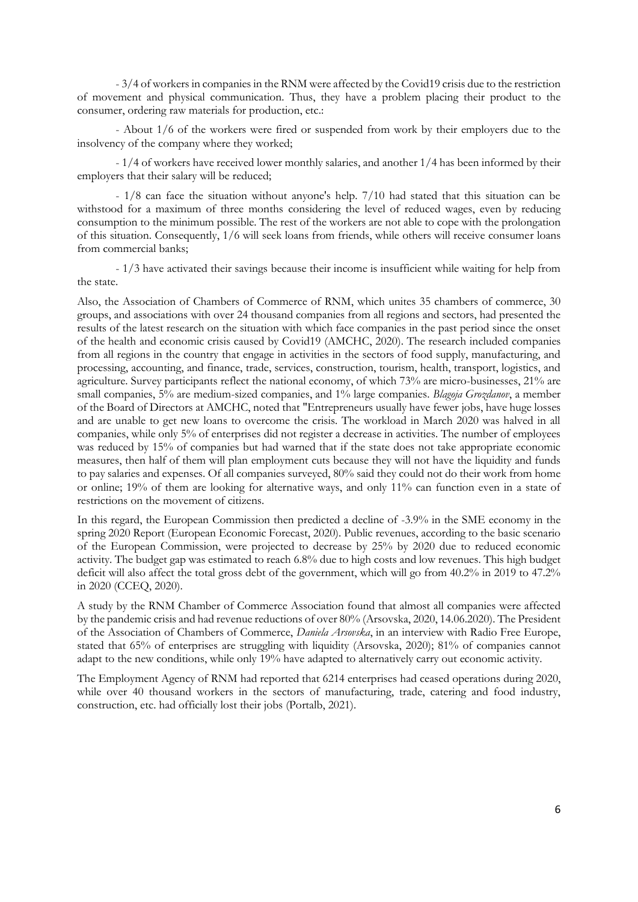- 3/4 of workers in companies in the RNM were affected by the Covid19 crisis due to the restriction of movement and physical communication. Thus, they have a problem placing their product to the consumer, ordering raw materials for production, etc.:

- About 1/6 of the workers were fired or suspended from work by their employers due to the insolvency of the company where they worked;

- 1/4 of workers have received lower monthly salaries, and another 1/4 has been informed by their employers that their salary will be reduced;

- 1/8 can face the situation without anyone's help. 7/10 had stated that this situation can be withstood for a maximum of three months considering the level of reduced wages, even by reducing consumption to the minimum possible. The rest of the workers are not able to cope with the prolongation of this situation. Consequently, 1/6 will seek loans from friends, while others will receive consumer loans from commercial banks;

- 1/3 have activated their savings because their income is insufficient while waiting for help from the state.

Also, the Association of Chambers of Commerce of RNM, which unites 35 chambers of commerce, 30 groups, and associations with over 24 thousand companies from all regions and sectors, had presented the results of the latest research on the situation with which face companies in the past period since the onset of the health and economic crisis caused by Covid19 (AMCHC, 2020). The research included companies from all regions in the country that engage in activities in the sectors of food supply, manufacturing, and processing, accounting, and finance, trade, services, construction, tourism, health, transport, logistics, and agriculture. Survey participants reflect the national economy, of which 73% are micro-businesses, 21% are small companies, 5% are medium-sized companies, and 1% large companies. *Blagoja Grozdanov*, a member of the Board of Directors at AMCHC, noted that "Entrepreneurs usually have fewer jobs, have huge losses and are unable to get new loans to overcome the crisis. The workload in March 2020 was halved in all companies, while only 5% of enterprises did not register a decrease in activities. The number of employees was reduced by 15% of companies but had warned that if the state does not take appropriate economic measures, then half of them will plan employment cuts because they will not have the liquidity and funds to pay salaries and expenses. Of all companies surveyed, 80% said they could not do their work from home or online; 19% of them are looking for alternative ways, and only 11% can function even in a state of restrictions on the movement of citizens.

In this regard, the European Commission then predicted a decline of -3.9% in the SME economy in the spring 2020 Report (European Economic Forecast, 2020). Public revenues, according to the basic scenario of the European Commission, were projected to decrease by 25% by 2020 due to reduced economic activity. The budget gap was estimated to reach 6.8% due to high costs and low revenues. This high budget deficit will also affect the total gross debt of the government, which will go from 40.2% in 2019 to 47.2% in 2020 (CCEQ, 2020).

A study by the RNM Chamber of Commerce Association found that almost all companies were affected by the pandemic crisis and had revenue reductions of over 80% (Arsovska, 2020, 14.06.2020). The President of the Association of Chambers of Commerce, *Daniela Arsovska*, in an interview with Radio Free Europe, stated that 65% of enterprises are struggling with liquidity (Arsovska, 2020); 81% of companies cannot adapt to the new conditions, while only 19% have adapted to alternatively carry out economic activity.

The Employment Agency of RNM had reported that 6214 enterprises had ceased operations during 2020, while over 40 thousand workers in the sectors of manufacturing, trade, catering and food industry, construction, etc. had officially lost their jobs (Portalb, 2021).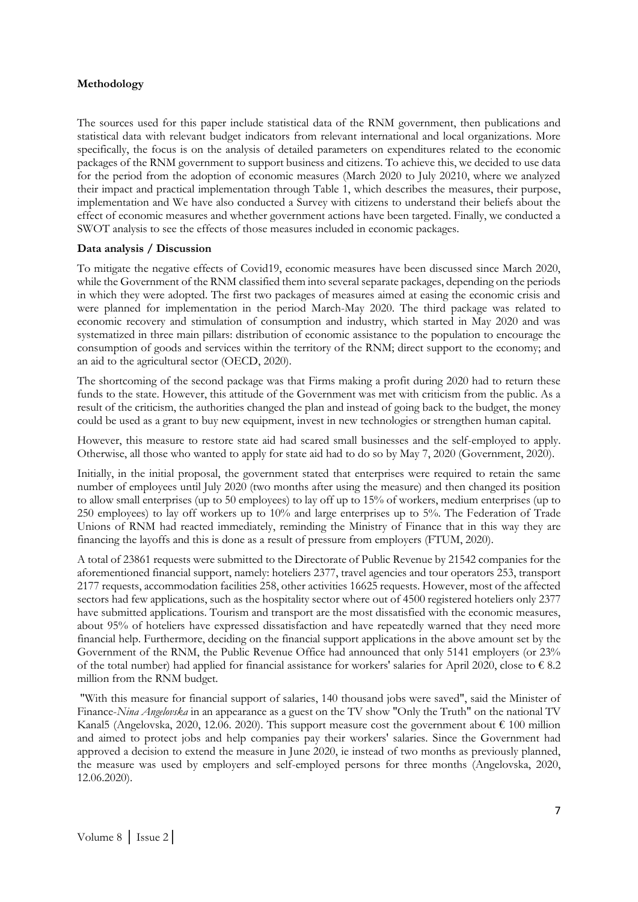#### **Methodology**

The sources used for this paper include statistical data of the RNM government, then publications and statistical data with relevant budget indicators from relevant international and local organizations. More specifically, the focus is on the analysis of detailed parameters on expenditures related to the economic packages of the RNM government to support business and citizens. To achieve this, we decided to use data for the period from the adoption of economic measures (March 2020 to July 20210, where we analyzed their impact and practical implementation through Table 1, which describes the measures, their purpose, implementation and We have also conducted a Survey with citizens to understand their beliefs about the effect of economic measures and whether government actions have been targeted. Finally, we conducted a SWOT analysis to see the effects of those measures included in economic packages.

#### **Data analysis / Discussion**

To mitigate the negative effects of Covid19, economic measures have been discussed since March 2020, while the Government of the RNM classified them into several separate packages, depending on the periods in which they were adopted. The first two packages of measures aimed at easing the economic crisis and were planned for implementation in the period March-May 2020. The third package was related to economic recovery and stimulation of consumption and industry, which started in May 2020 and was systematized in three main pillars: distribution of economic assistance to the population to encourage the consumption of goods and services within the territory of the RNM; direct support to the economy; and an aid to the agricultural sector (OECD, 2020).

The shortcoming of the second package was that Firms making a profit during 2020 had to return these funds to the state. However, this attitude of the Government was met with criticism from the public. As a result of the criticism, the authorities changed the plan and instead of going back to the budget, the money could be used as a grant to buy new equipment, invest in new technologies or strengthen human capital.

However, this measure to restore state aid had scared small businesses and the self-employed to apply. Otherwise, all those who wanted to apply for state aid had to do so by May 7, 2020 (Government, 2020).

Initially, in the initial proposal, the government stated that enterprises were required to retain the same number of employees until July 2020 (two months after using the measure) and then changed its position to allow small enterprises (up to 50 employees) to lay off up to 15% of workers, medium enterprises (up to 250 employees) to lay off workers up to 10% and large enterprises up to 5%. The Federation of Trade Unions of RNM had reacted immediately, reminding the Ministry of Finance that in this way they are financing the layoffs and this is done as a result of pressure from employers (FTUM, 2020).

A total of 23861 requests were submitted to the Directorate of Public Revenue by 21542 companies for the aforementioned financial support, namely: hoteliers 2377, travel agencies and tour operators 253, transport 2177 requests, accommodation facilities 258, other activities 16625 requests. However, most of the affected sectors had few applications, such as the hospitality sector where out of 4500 registered hoteliers only 2377 have submitted applications. Tourism and transport are the most dissatisfied with the economic measures, about 95% of hoteliers have expressed dissatisfaction and have repeatedly warned that they need more financial help. Furthermore, deciding on the financial support applications in the above amount set by the Government of the RNM, the Public Revenue Office had announced that only 5141 employers (or 23% of the total number) had applied for financial assistance for workers' salaries for April 2020, close to  $\epsilon$  8.2 million from the RNM budget.

"With this measure for financial support of salaries, 140 thousand jobs were saved", said the Minister of Finance-*Nina Angelovska* in an appearance as a guest on the TV show "Only the Truth" on the national TV Kanal5 (Angelovska, 2020, 12.06. 2020). This support measure cost the government about  $\epsilon$  100 million and aimed to protect jobs and help companies pay their workers' salaries. Since the Government had approved a decision to extend the measure in June 2020, ie instead of two months as previously planned, the measure was used by employers and self-employed persons for three months (Angelovska, 2020, 12.06.2020).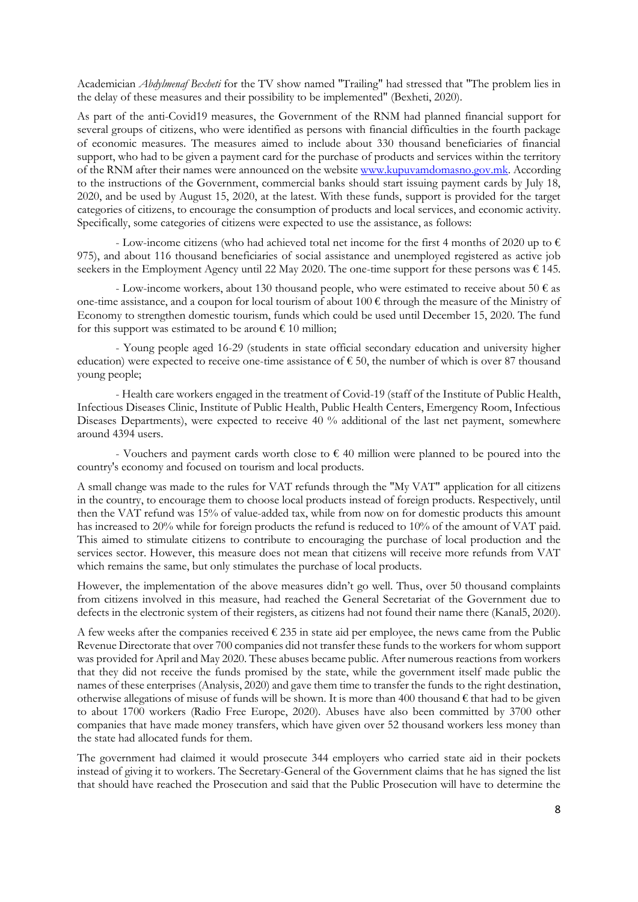Academician *Abdylmenaf Bexheti* for the TV show named "Trailing" had stressed that "The problem lies in the delay of these measures and their possibility to be implemented" (Bexheti, 2020).

As part of the anti-Covid19 measures, the Government of the RNM had planned financial support for several groups of citizens, who were identified as persons with financial difficulties in the fourth package of economic measures. The measures aimed to include about 330 thousand beneficiaries of financial support, who had to be given a payment card for the purchase of products and services within the territory of the RNM after their names were announced on the websit[e www.kupuvamdomasno.gov.mk.](http://www.kupuvamdomasno.gov.mk/) According to the instructions of the Government, commercial banks should start issuing payment cards by July 18, 2020, and be used by August 15, 2020, at the latest. With these funds, support is provided for the target categories of citizens, to encourage the consumption of products and local services, and economic activity. Specifically, some categories of citizens were expected to use the assistance, as follows:

- Low-income citizens (who had achieved total net income for the first 4 months of 2020 up to  $\epsilon$ 975), and about 116 thousand beneficiaries of social assistance and unemployed registered as active job seekers in the Employment Agency until 22 May 2020. The one-time support for these persons was  $\epsilon$  145.

- Low-income workers, about 130 thousand people, who were estimated to receive about 50  $\epsilon$  as one-time assistance, and a coupon for local tourism of about  $100 \in$  through the measure of the Ministry of Economy to strengthen domestic tourism, funds which could be used until December 15, 2020. The fund for this support was estimated to be around  $\epsilon$  10 million;

- Young people aged 16-29 (students in state official secondary education and university higher education) were expected to receive one-time assistance of  $\epsilon$  50, the number of which is over 87 thousand young people;

- Health care workers engaged in the treatment of Covid-19 (staff of the Institute of Public Health, Infectious Diseases Clinic, Institute of Public Health, Public Health Centers, Emergency Room, Infectious Diseases Departments), were expected to receive 40 % additional of the last net payment, somewhere around 4394 users.

- Vouchers and payment cards worth close to  $\epsilon$  40 million were planned to be poured into the country's economy and focused on tourism and local products.

A small change was made to the rules for VAT refunds through the "My VAT" application for all citizens in the country, to encourage them to choose local products instead of foreign products. Respectively, until then the VAT refund was 15% of value-added tax, while from now on for domestic products this amount has increased to 20% while for foreign products the refund is reduced to 10% of the amount of VAT paid. This aimed to stimulate citizens to contribute to encouraging the purchase of local production and the services sector. However, this measure does not mean that citizens will receive more refunds from VAT which remains the same, but only stimulates the purchase of local products.

However, the implementation of the above measures didn't go well. Thus, over 50 thousand complaints from citizens involved in this measure, had reached the General Secretariat of the Government due to defects in the electronic system of their registers, as citizens had not found their name there (Kanal5, 2020).

A few weeks after the companies received  $\epsilon$  235 in state aid per employee, the news came from the Public Revenue Directorate that over 700 companies did not transfer these funds to the workers for whom support was provided for April and May 2020. These abuses became public. After numerous reactions from workers that they did not receive the funds promised by the state, while the government itself made public the names of these enterprises (Analysis, 2020) and gave them time to transfer the funds to the right destination, otherwise allegations of misuse of funds will be shown. It is more than 400 thousand  $\epsilon$  that had to be given to about 1700 workers (Radio Free Europe, 2020). Abuses have also been committed by 3700 other companies that have made money transfers, which have given over 52 thousand workers less money than the state had allocated funds for them.

The government had claimed it would prosecute 344 employers who carried state aid in their pockets instead of giving it to workers. The Secretary-General of the Government claims that he has signed the list that should have reached the Prosecution and said that the Public Prosecution will have to determine the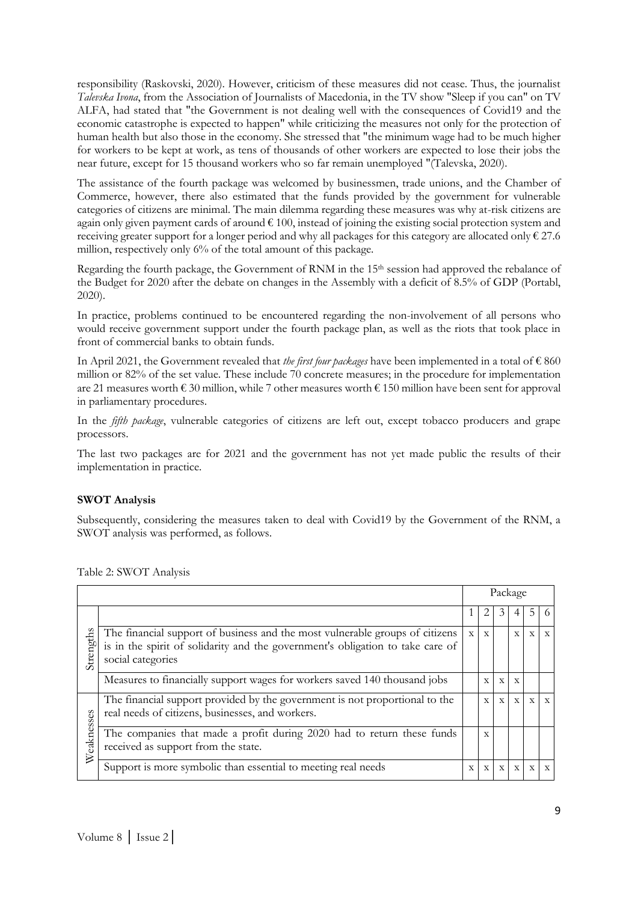responsibility (Raskovski, 2020). However, criticism of these measures did not cease. Thus, the journalist *Talevska Ivona*, from the Association of Journalists of Macedonia, in the TV show "Sleep if you can" on TV ALFA, had stated that "the Government is not dealing well with the consequences of Covid19 and the economic catastrophe is expected to happen" while criticizing the measures not only for the protection of human health but also those in the economy. She stressed that "the minimum wage had to be much higher for workers to be kept at work, as tens of thousands of other workers are expected to lose their jobs the near future, except for 15 thousand workers who so far remain unemployed "(Talevska, 2020).

The assistance of the fourth package was welcomed by businessmen, trade unions, and the Chamber of Commerce, however, there also estimated that the funds provided by the government for vulnerable categories of citizens are minimal. The main dilemma regarding these measures was why at-risk citizens are again only given payment cards of around  $\epsilon$  100, instead of joining the existing social protection system and receiving greater support for a longer period and why all packages for this category are allocated only  $\epsilon$  27.6 million, respectively only 6% of the total amount of this package.

Regarding the fourth package, the Government of RNM in the 15<sup>th</sup> session had approved the rebalance of the Budget for 2020 after the debate on changes in the Assembly with a deficit of 8.5% of GDP (Portabl, 2020).

In practice, problems continued to be encountered regarding the non-involvement of all persons who would receive government support under the fourth package plan, as well as the riots that took place in front of commercial banks to obtain funds.

In April 2021, the Government revealed that *the first four packages* have been implemented in a total of € 860 million or 82% of the set value. These include 70 concrete measures; in the procedure for implementation are 21 measures worth  $\epsilon$  30 million, while 7 other measures worth  $\epsilon$  150 million have been sent for approval in parliamentary procedures.

In the *fifth package*, vulnerable categories of citizens are left out, except tobacco producers and grape processors.

The last two packages are for 2021 and the government has not yet made public the results of their implementation in practice.

## **SWOT Analysis**

Subsequently, considering the measures taken to deal with Covid19 by the Government of the RNM, a SWOT analysis was performed, as follows.

|            |                                                                                                                                                                                     |              |              |              | Package      |                |              |
|------------|-------------------------------------------------------------------------------------------------------------------------------------------------------------------------------------|--------------|--------------|--------------|--------------|----------------|--------------|
|            |                                                                                                                                                                                     |              | 2            | 3            |              | 5.             | 6            |
| Strengths  | The financial support of business and the most vulnerable groups of citizens<br>is in the spirit of solidarity and the government's obligation to take care of<br>social categories | $\mathbf{x}$ | $\mathbf{x}$ |              | $\mathbf{X}$ | $\mathbf{x}$   | $\mathbf{X}$ |
|            | Measures to financially support wages for workers saved 140 thousand jobs                                                                                                           |              | $\mathbf{x}$ | $\mathbf{x}$ | $\mathbf{x}$ |                |              |
| Weaknesses | The financial support provided by the government is not proportional to the<br>real needs of citizens, businesses, and workers.                                                     |              | $\mathbf{x}$ | $\mathbf{x}$ | $\mathbf{X}$ | $\mathbf{x}$   | $\mathbf{x}$ |
|            | The companies that made a profit during 2020 had to return these funds<br>received as support from the state.                                                                       |              | X            |              |              |                |              |
|            | Support is more symbolic than essential to meeting real needs                                                                                                                       | $\mathbf{x}$ | $\mathbf x$  | $\mathbf x$  | $\mathbf{x}$ | $\overline{X}$ | $\mathbf{x}$ |

Table 2: SWOT Analysis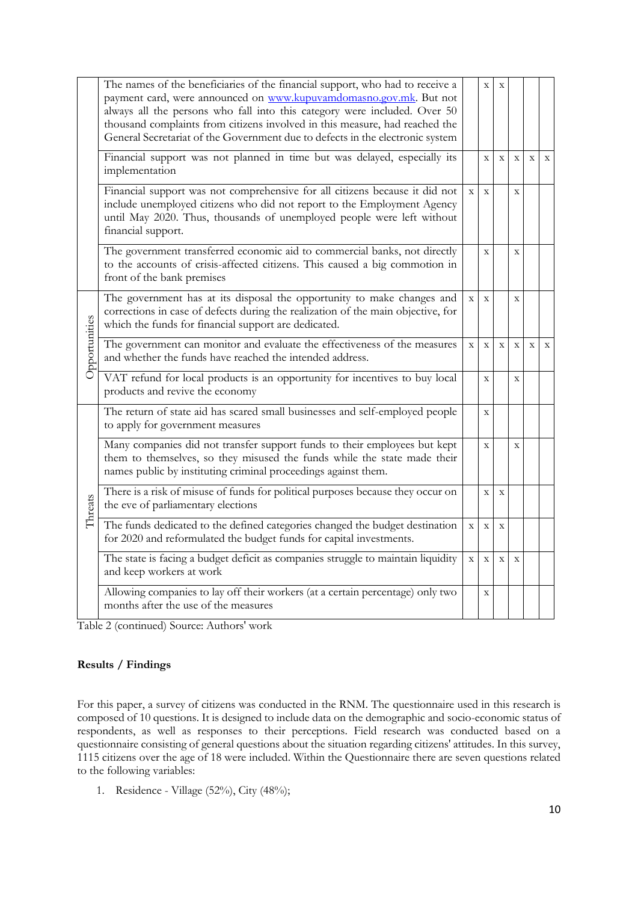|               | The names of the beneficiaries of the financial support, who had to receive a<br>payment card, were announced on www.kupuvamdomasno.gov.mk. But not<br>always all the persons who fall into this category were included. Over 50<br>thousand complaints from citizens involved in this measure, had reached the<br>General Secretariat of the Government due to defects in the electronic system |             | $\mathbf X$    | X           |              |             |              |
|---------------|--------------------------------------------------------------------------------------------------------------------------------------------------------------------------------------------------------------------------------------------------------------------------------------------------------------------------------------------------------------------------------------------------|-------------|----------------|-------------|--------------|-------------|--------------|
|               | Financial support was not planned in time but was delayed, especially its<br>implementation                                                                                                                                                                                                                                                                                                      |             | $\mathbf{X}$   | $\mathbf X$ | $\mathbf X$  | $\bar{X}$   | $\mathbf X$  |
|               | Financial support was not comprehensive for all citizens because it did not<br>include unemployed citizens who did not report to the Employment Agency<br>until May 2020. Thus, thousands of unemployed people were left without<br>financial support.                                                                                                                                           | $\mathbf X$ | $\mathbf X$    |             | $\mathbf X$  |             |              |
|               | The government transferred economic aid to commercial banks, not directly<br>to the accounts of crisis-affected citizens. This caused a big commotion in<br>front of the bank premises                                                                                                                                                                                                           |             | $\mathbf X$    |             | $\mathbf X$  |             |              |
| Opportunities | The government has at its disposal the opportunity to make changes and<br>corrections in case of defects during the realization of the main objective, for<br>which the funds for financial support are dedicated.                                                                                                                                                                               | $\mathbf X$ | $\bar{X}$      |             | $\mathbf{x}$ |             |              |
|               | The government can monitor and evaluate the effectiveness of the measures<br>and whether the funds have reached the intended address.                                                                                                                                                                                                                                                            | $\mathbf X$ | $\overline{X}$ | $\mathbf X$ | $\mathbf X$  | $\mathbf X$ | $\mathbf{x}$ |
|               | VAT refund for local products is an opportunity for incentives to buy local<br>products and revive the economy                                                                                                                                                                                                                                                                                   |             | $\mathbf X$    |             | $\mathbf X$  |             |              |
|               | The return of state aid has scared small businesses and self-employed people<br>to apply for government measures                                                                                                                                                                                                                                                                                 |             | $\mathbf X$    |             |              |             |              |
| Threats       | Many companies did not transfer support funds to their employees but kept<br>them to themselves, so they misused the funds while the state made their<br>names public by instituting criminal proceedings against them.                                                                                                                                                                          |             | $\mathbf X$    |             | $\mathbf X$  |             |              |
|               | There is a risk of misuse of funds for political purposes because they occur on<br>the eve of parliamentary elections                                                                                                                                                                                                                                                                            |             | $\overline{X}$ | $\mathbf X$ |              |             |              |
|               | The funds dedicated to the defined categories changed the budget destination<br>for 2020 and reformulated the budget funds for capital investments.                                                                                                                                                                                                                                              | $\mathbf X$ | $\mathbf X$    | $\mathbf X$ |              |             |              |
|               | The state is facing a budget deficit as companies struggle to maintain liquidity<br>and keep workers at work                                                                                                                                                                                                                                                                                     | $\mathbf X$ | $\mathbf X$    | $\mathbf X$ | $\mathbf X$  |             |              |
|               | Allowing companies to lay off their workers (at a certain percentage) only two<br>months after the use of the measures                                                                                                                                                                                                                                                                           |             | $\mathbf X$    |             |              |             |              |

Table 2 (continued) Source: Authors' work

# **Results / Findings**

For this paper, a survey of citizens was conducted in the RNM. The questionnaire used in this research is composed of 10 questions. It is designed to include data on the demographic and socio-economic status of respondents, as well as responses to their perceptions. Field research was conducted based on a questionnaire consisting of general questions about the situation regarding citizens' attitudes. In this survey, 1115 citizens over the age of 18 were included. Within the Questionnaire there are seven questions related to the following variables:

1. Residence - Village (52%), City (48%);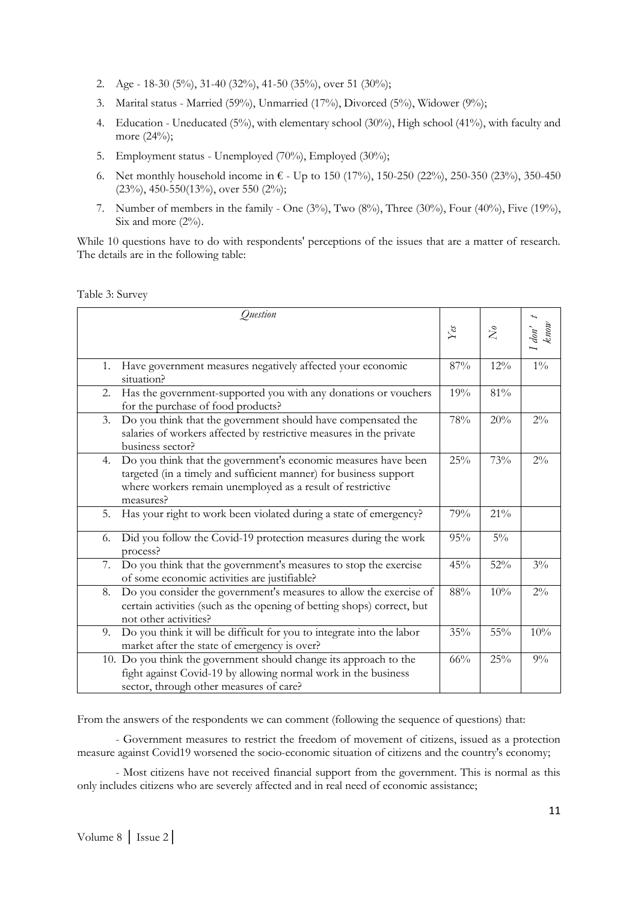- 2. Age 18-30 (5%), 31-40 (32%), 41-50 (35%), over 51 (30%);
- 3. Marital status Married (59%), Unmarried (17%), Divorced (5%), Widower (9%);
- 4. Education Uneducated (5%), with elementary school (30%), High school (41%), with faculty and more (24%);
- 5. Employment status Unemployed (70%), Employed (30%);
- 6. Net monthly household income in  $\epsilon$  Up to 150 (17%), 150-250 (22%), 250-350 (23%), 350-450 (23%), 450-550(13%), over 550 (2%);
- 7. Number of members in the family One  $(3\%)$ , Two  $(8\%)$ , Three  $(30\%)$ , Four  $(40\%)$ , Five  $(19\%)$ , Six and more  $(2\%)$ .

While 10 questions have to do with respondents' perceptions of the issues that are a matter of research. The details are in the following table:

Table 3: Survey

| Question                                                                                                                                                                                                             |                   |           |                   |
|----------------------------------------------------------------------------------------------------------------------------------------------------------------------------------------------------------------------|-------------------|-----------|-------------------|
|                                                                                                                                                                                                                      | $Y_{\mathcal{C}}$ | $\bar{N}$ | $\int$ don't know |
| Have government measures negatively affected your economic<br>1.<br>situation?                                                                                                                                       | 87%               | 12%       | $1\%$             |
| Has the government-supported you with any donations or vouchers<br>2.<br>for the purchase of food products?                                                                                                          | 19%               | 81%       |                   |
| Do you think that the government should have compensated the<br>3.<br>salaries of workers affected by restrictive measures in the private<br>business sector?                                                        | 78%               | 20%       | $2\%$             |
| Do you think that the government's economic measures have been<br>4.<br>targeted (in a timely and sufficient manner) for business support<br>where workers remain unemployed as a result of restrictive<br>measures? | 25%               | 73%       | $2\%$             |
| Has your right to work been violated during a state of emergency?<br>5.                                                                                                                                              | 79%               | 21%       |                   |
| Did you follow the Covid-19 protection measures during the work<br>6.<br>process?                                                                                                                                    | 95%               | $5\%$     |                   |
| Do you think that the government's measures to stop the exercise<br>7.<br>of some economic activities are justifiable?                                                                                               | 45%               | 52%       | $3\%$             |
| Do you consider the government's measures to allow the exercise of<br>8.<br>certain activities (such as the opening of betting shops) correct, but<br>not other activities?                                          | 88%               | 10%       | $2\%$             |
| Do you think it will be difficult for you to integrate into the labor<br>9.<br>market after the state of emergency is over?                                                                                          | 35%               | 55%       | 10%               |
| 10. Do you think the government should change its approach to the<br>fight against Covid-19 by allowing normal work in the business<br>sector, through other measures of care?                                       | 66%               | 25%       | $9\%$             |

From the answers of the respondents we can comment (following the sequence of questions) that:

- Government measures to restrict the freedom of movement of citizens, issued as a protection measure against Covid19 worsened the socio-economic situation of citizens and the country's economy;

- Most citizens have not received financial support from the government. This is normal as this only includes citizens who are severely affected and in real need of economic assistance;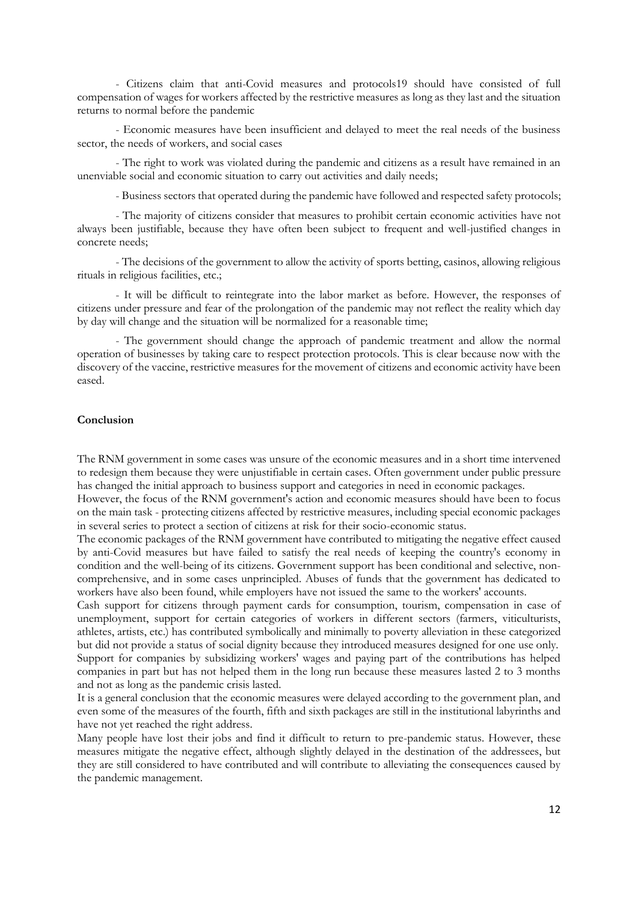- Citizens claim that anti-Covid measures and protocols19 should have consisted of full compensation of wages for workers affected by the restrictive measures as long as they last and the situation returns to normal before the pandemic

- Economic measures have been insufficient and delayed to meet the real needs of the business sector, the needs of workers, and social cases

- The right to work was violated during the pandemic and citizens as a result have remained in an unenviable social and economic situation to carry out activities and daily needs;

- Business sectors that operated during the pandemic have followed and respected safety protocols;

- The majority of citizens consider that measures to prohibit certain economic activities have not always been justifiable, because they have often been subject to frequent and well-justified changes in concrete needs;

- The decisions of the government to allow the activity of sports betting, casinos, allowing religious rituals in religious facilities, etc.;

- It will be difficult to reintegrate into the labor market as before. However, the responses of citizens under pressure and fear of the prolongation of the pandemic may not reflect the reality which day by day will change and the situation will be normalized for a reasonable time;

- The government should change the approach of pandemic treatment and allow the normal operation of businesses by taking care to respect protection protocols. This is clear because now with the discovery of the vaccine, restrictive measures for the movement of citizens and economic activity have been eased.

#### **Conclusion**

The RNM government in some cases was unsure of the economic measures and in a short time intervened to redesign them because they were unjustifiable in certain cases. Often government under public pressure has changed the initial approach to business support and categories in need in economic packages.

However, the focus of the RNM government's action and economic measures should have been to focus on the main task - protecting citizens affected by restrictive measures, including special economic packages in several series to protect a section of citizens at risk for their socio-economic status.

The economic packages of the RNM government have contributed to mitigating the negative effect caused by anti-Covid measures but have failed to satisfy the real needs of keeping the country's economy in condition and the well-being of its citizens. Government support has been conditional and selective, noncomprehensive, and in some cases unprincipled. Abuses of funds that the government has dedicated to workers have also been found, while employers have not issued the same to the workers' accounts.

Cash support for citizens through payment cards for consumption, tourism, compensation in case of unemployment, support for certain categories of workers in different sectors (farmers, viticulturists, athletes, artists, etc.) has contributed symbolically and minimally to poverty alleviation in these categorized but did not provide a status of social dignity because they introduced measures designed for one use only.

Support for companies by subsidizing workers' wages and paying part of the contributions has helped companies in part but has not helped them in the long run because these measures lasted 2 to 3 months and not as long as the pandemic crisis lasted.

It is a general conclusion that the economic measures were delayed according to the government plan, and even some of the measures of the fourth, fifth and sixth packages are still in the institutional labyrinths and have not yet reached the right address.

Many people have lost their jobs and find it difficult to return to pre-pandemic status. However, these measures mitigate the negative effect, although slightly delayed in the destination of the addressees, but they are still considered to have contributed and will contribute to alleviating the consequences caused by the pandemic management.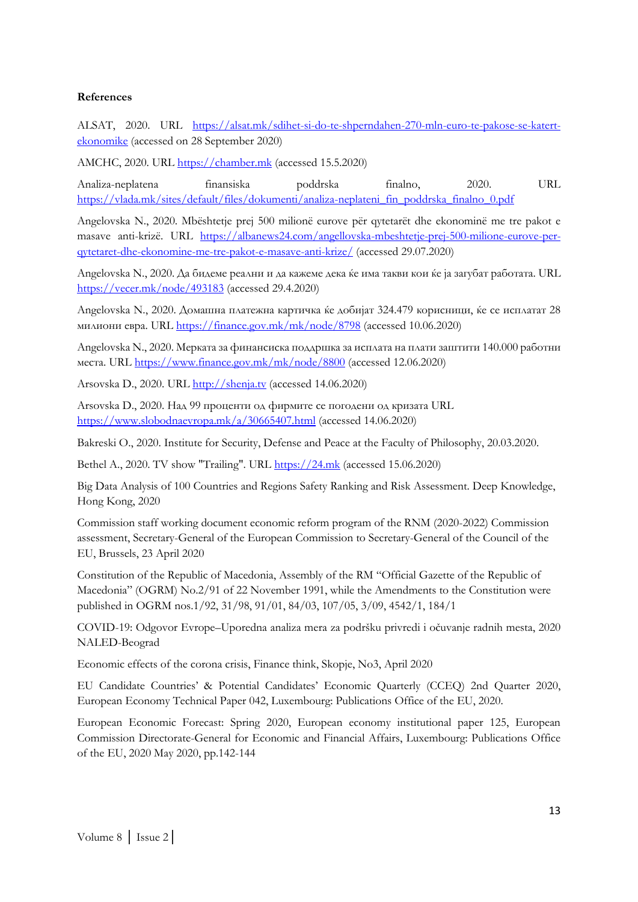## **References**

ALSAT, 2020. URL [https://alsat.mk/sdihet-si-do-te-shperndahen-270-mln-euro-te-pakose-se-katert](https://alsat.mk/sdihet-si-do-te-shperndahen-270-mln-euro-te-pakose-se-katert-ekonomike)[ekonomike](https://alsat.mk/sdihet-si-do-te-shperndahen-270-mln-euro-te-pakose-se-katert-ekonomike) (accessed on 28 September 2020)

AMCHC, 2020. URL [https://chamber.mk](https://chamber.mk/) (accessed 15.5.2020)

Analiza-neplatena finansiska poddrska finalno, 2020. URL [https://vlada.mk/sites/default/files/dokumenti/analiza-neplateni\\_fin\\_poddrska\\_finalno\\_0.pdf](https://vlada.mk/sites/default/files/dokumenti/analiza-neplateni_fin_poddrska_finalno_0.pdf)

Angelovska N., 2020. Mbështetje prej 500 milionë eurove për qytetarët dhe ekonominë me tre pakot e masave anti-krizë. URL [https://albanews24.com/angellovska-mbeshtetje-prej-500-milione-eurove-per](https://albanews24.com/angellovska-mbeshtetje-prej-500-milione-eurove-per-qytetaret-dhe-ekonomine-me-tre-pakot-e-masave-anti-krize/)[qytetaret-dhe-ekonomine-me-tre-pakot-e-masave-anti-krize/](https://albanews24.com/angellovska-mbeshtetje-prej-500-milione-eurove-per-qytetaret-dhe-ekonomine-me-tre-pakot-e-masave-anti-krize/) (accessed 29.07.2020)

Angelovska N., 2020. Да бидеме реални и да кажеме дека ќе има такви кои ќе ја загубат работата. URL <https://vecer.mk/node/493183> (accessed 29.4.2020)

Angelovska N., 2020. Домашна платежна картичка ќе добијат 324.479 корисници, ќе се исплатат 28 милиони евра. URL <https://finance.gov.mk/mk/node/8798> (accessed 10.06.2020)

Angelovska N., 2020. Мерката за финансиска поддршка за исплата на плати заштити 140.000 работни места. URL <https://www.finance.gov.mk/mk/node/8800> (accessed 12.06.2020)

Arsovska D., 2020. URL [http://shenja.tv](http://shenja.tv/) (accessed 14.06.2020)

Arsovska D., 2020. Над 99 проценти од фирмите се погодени од кризата URL <https://www.slobodnaevropa.mk/a/30665407.html> (accessed 14.06.2020)

Bakreski O., 2020. Institute for Security, Defense and Peace at the Faculty of Philosophy, 20.03.2020.

Bethel A., 2020. TV show "Trailing". URL [https://24.mk](https://24.mk/) (accessed 15.06.2020)

Big Data Analysis of 100 Countries and Regions Safety Ranking and Risk Assessment. Deep Knowledge, Hong Kong, 2020

Commission staff working document economic reform program of the RNM (2020-2022) Commission assessment, Secretary-General of the European Commission to Secretary-General of the Council of the EU, Brussels, 23 April 2020

Constitution of the Republic of Macedonia, Assembly of the RM "Official Gazette of the Republic of Macedonia" (OGRM) No.2/91 of 22 November 1991, while the Amendments to the Constitution were published in OGRM nos.1/92, 31/98, 91/01, 84/03, 107/05, 3/09, 4542/1, 184/1

COVID-19: Odgovor Evrope–Uporedna analiza mera za podršku privredi i očuvanje radnih mesta, 2020 NALED-Beograd

Economic effects of the corona crisis, Finance think, Skopje, No3, April 2020

EU Candidate Countries' & Potential Candidates' Economic Quarterly (CCEQ) 2nd Quarter 2020, European Economy Technical Paper 042, Luxembourg: Publications Office of the EU, 2020.

European Economic Forecast: Spring 2020, European economy institutional paper 125, European Commission Directorate-General for Economic and Financial Affairs, Luxembourg: Publications Office of the EU, 2020 May 2020, pp.142-144